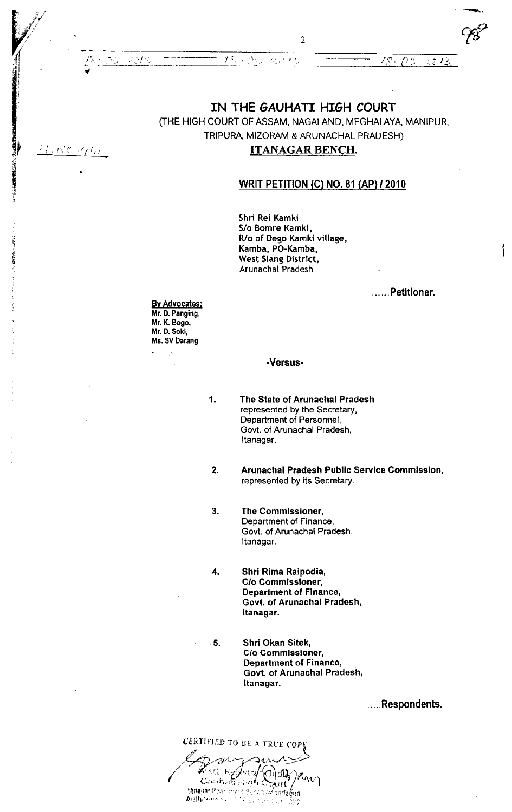$\frac{15}{2}$ . Og., 2015. –  $\frac{25}{2}$  /g. 0g. 2013

# IN THE GAUHATI HI6H COURT

(THE HIGH COURT OF ASSAM, NAGALAND, MEGHALAYA, MANIPUR, TRIPURA, MIZORAM & ARUNACHAL PRADESH)

## ITANAGAR BENCH.

# WRIT PETITION (C) NO. 81 (AP) / 2010

Shri Rei Kamki S/o Bomre Kamki, R/o of Dego Kamki village, Kamba, PO-Kamba, West Siang District, ArunachaI Pradesh

...... Petitioner.

ſ

<u>By Advocates</u> Mr. D. Panging Mr. K. Bogo, Mr. 0. Sokl, Ms. SV Darang

1

!

 $\mathcal{A}_f t_{f}$ 

 $\bullet$ 

 $\gamma$ .

t.'1,:.

 $H$ .  $N$ 0

i t T ? {

I

t

tl

### .Versus.

The State of Arunachal Pradesh represented by the Secretary, Department of Personnel, Govt. of Arunachal Pradesh, Itanagar.

Arunachal Pradesh Public Service Commlssion, represenled by its Secretary. 2.

- The Commissioner, Department of Finance, Govt. of Arunachal Pradesh, Itanagar, 3
- Shrl Rima Raipodia, G/o Commissioner, Department of Finance, Govt. of Arunachal Pradesh, Itanagar. 4
- 5. Shri Okan Sitek, C/o Commissioner, Department of Finance, Govt. of Arunachal Pradesh, Itanagar,

....Respondents.

CERTIFIED TO BE A TRUE COPY roset, K*y*ylstryff<br>Gouhair High ( Rest Red Time Pin Authories (20)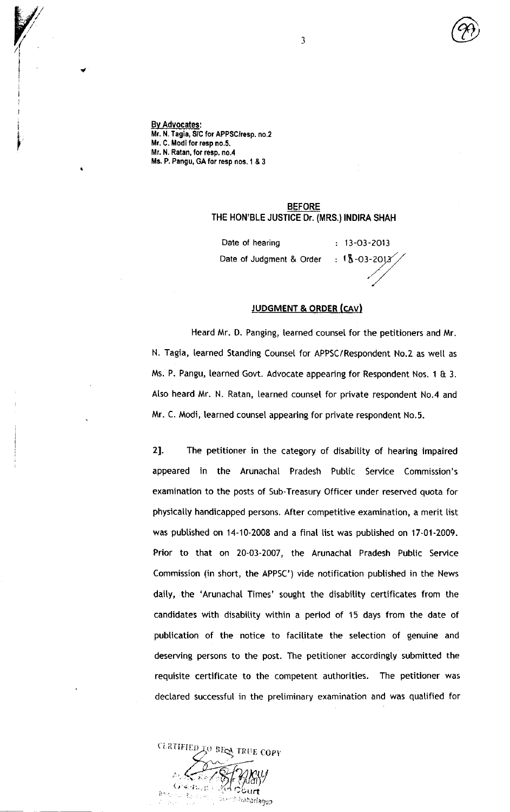By Advocates: Mr. N. Tagia, S/C for APPSC/resp. no.2 Mr. C. Modi for resp no.5. Mr. N. Ratan, for resp. no.4 Ms. P. Pangu, GA for resp nos. 1 & 3

I

i

I t i I I

# BEFORE THE HON'BLE JUSTICE Dr. (MRS.) INDIRA SHAH

Date of hearing Date ot Judgment & Order  $: 13 - 03 - 2013$  $: 18 - 03 - 2012$ 

JUDGMENT & ORDER (cAv)

Heard Mr. D. Panging, tearned counsel for the petitioners and Mr. N. Tagia, learned Standing Counsel for APPSC / Respondent No.Z as wetl as Ms. P. Pangu, learned Govt. Advocate appearing for Respondent Nos. 1 & 3. Atso heard Mr. N. Ratan, learned counsel for private respondent No.4 and Mr. C. Modi, tearned counset appearing for private respondent No.5.

2]. The petitioner in the category of disability of hearing impaired appeared in the Arunachat Pradesh Pubtic Service Commission's examination to the posts of Sub-Treasury Officer under reserved quota for physically handicapped persons. After competitive examination, a merit list was pubtished on 14-10-2008 and a final list was pubtished on 17-01-2009. Prior to that on 20-03-2007, the Arunachal Pradesh Public Service Commission (in short, the APPSC') vide notification published in the News daity, the 'Arunachal Times' sought the disabitity certificates from the candidates with disabitity within a period of 15 days from the date of pubtlcation of the notice to facititate the setection of genuine and deserving persons to the post. The petitioner accordingly submitted the requisite certificate to the competent authorities. The petitioner was declared successful in the pretiminary examination and was quatified for

CLRTIFIED TO BEEN TRUE COPY  $\iota_I$  $\mathbf C$  ert rkanarlagun t /  $\mathfrak{m},\mathfrak{r}$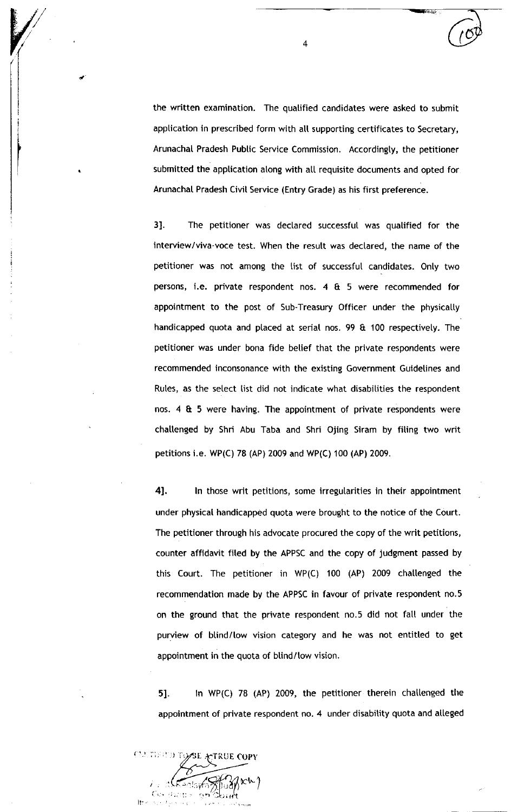the written examination. The quatified candidates were asked to submit application in prescribed form with all supporting certificates to Secretary, Arunachal Pradesh Public Service Commission. Accordingty, the petitioner submitted the application along with all requisite documents and opted for Arunachat Pradesh Civit Service (Entry Grade) as his first preference.

3]. The petitioner was declared successful was qualified for the interview/viva-voce test. When the resutt was dectared, the name of the petitioner was not among the list of successfut candidates. Onty two persons, i,e. private respondent nos. 4 & 5 were recommended for appointment to the post of Sub-Treasury Officer under the physically handicapped quota and placed at serial nos. 99 & 100 respectively. The petitioner was under bona fide betief that the private respondents were recommended inconsonance with the existing Government Guidetines and Rules, as the select list did not indicate what disabilities the respondent nos. 4 & 5 were having. The appointment of private respondents were challenged by Shri Abu Taba and Shri Ojing Siram by filing two writ petitions i.e. WP(C) 78 (AP) 2009 and WP(C) 100 (AP) 2009.

4]. In those writ petitions, some irregularities in their appointment under physical handicapped quota were brought to the notice of the Court. The petitioner through his advocate procured the copy of the writ petitions, counter affidavit fited by the APPSC and the copy of judgment passed by this Court. The petitioner in WP(C) 100 (AP) 2009 chaltenged the recommendation made by the APPSC in favour of private respondent no.5 on the ground that the private respondent no.5 did not fatt under the purview of blind/low vision category and he was not entitled to get appointment in the quota of blind/low vision.

51. ln WP(C) 78 (AP) 2009, the petitioner therein chatlenged the appointment of private respondent no. 4 under disability quota and alleged



4

 $\omega$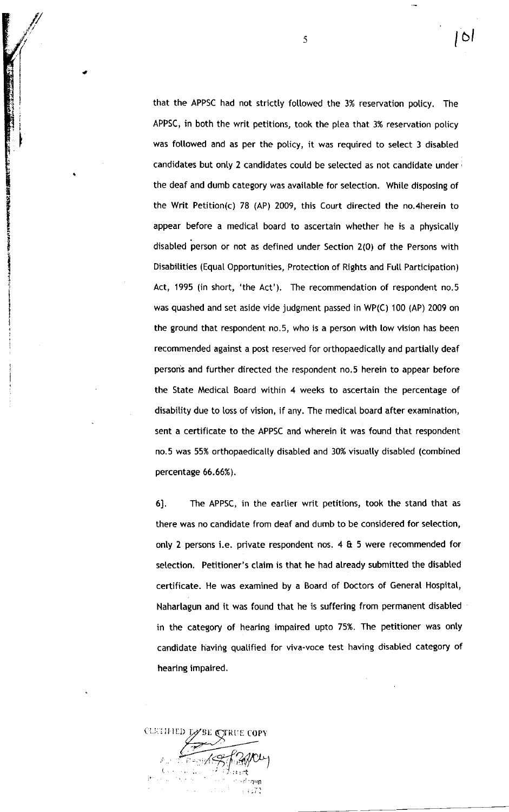that the APPSC had not strictty foltowed the 3% reservation poticy. The APPSC, in both the writ petitions, took the ptea that 3% reservation poticy was followed and as per the policy, it was required to select 3 disabled candidates but only 2 candidates could be selected as not candidate under the deaf and dumb category was available for setection. While disposing of the Writ Petition(c) 78 (AP) 2009, this Court directed the no.4herein to appear before a medical board to ascertain whether he is a physically disabted person or not as defined under Section 2(O) of the Persons with Disabitities (Equat Opportunities, Protection of Rights and FutI Participation) Act, 1995 (in short, 'the Act'). The recommendation of respondent no.5 was quashed and set aside vide judgment passed in WP(C) 100 (AP) 2009 on the ground that respondent no.5, who is a person with low vision has been recommended against a post reserved for orthopaedically and partially deaf persons and further directed the respondent no.5 herein to appear before the State Medical Board within 4 weeks to ascertain the percentage of disabitity due to loss of vision, if any. The medicaI board after examination, sent a certificate to the APPSC and wherein it was found that respondent no.5 was 55% orthopaedicatty disabted and 30% visuatty disabted (combined percentage 66.66%).

6]. The APPSC, in the earlier writ petitions, took the stand that as there was no candidate from deaf and dumb to be considered for selection, onty 2 persons i.e. private respondent nos. 4 & 5 were recommended for selection. Petitioner's claim is that he had already submitted the disabled certificate. He was examined by a Board of Doctors of General Hospital, Naharlagun and it was found that he is suffering from permanent disabted in the category of hearing impaired upto 75%. The petitioner was onty candidate having quatified for viva-voce test having disabled category of hearing impaired.

**BE A TRUE COPY** iytfl") n ( l.;.:: II iLt  $\frac{1}{\Gamma} \in \mathbb{R}$ il

5

I I

I

t

i<br>i<br>i<br>i<br>i I t I , I l6l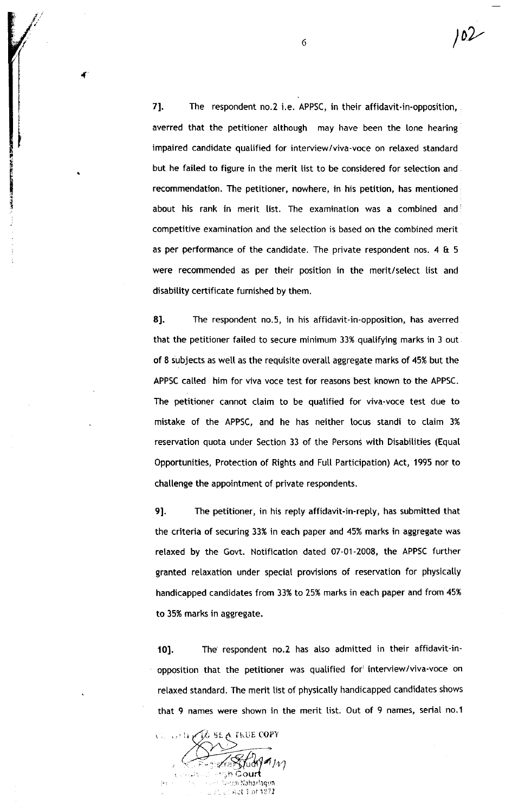7]. The respondent no.2 i.e. APPSC, in their affidavit-in-opposition, averred that the petitioner although may have been the lone hearing impaired candidate qualified for interview/viva-voce on relaxed standard but he failed to figure in the merit list to be considered for selection and recommendation, The petitioner, nowhere, in his petition, has mentioned about his rank in merit list. The examination was a combined and competitive examination and the setection is based on the combined merit as per performance of the candidate. The private respondent nos. 4 & <sup>5</sup> were recommended as per their position in the merit/select list and disabitity certificate furnished by them.

8]. The respondent no.5, in his affidavit-in-opposition, has averred that the petitioner faited to secure minimum 33% quatifying marks in 3 out of 8 iubjects as wetl as the requisite overall aggregate marks of 45% but the APPSC called him for viva voce test for reasons best known to the APPSC. The petitioner cannot claim to be quatified for viva-voce test due to mistake of the APPSC, and he has neither tocus standi to ctaim 3% reservation quota under Section 33 of the Persons with Disabitities (Equat Opportunities, Protection of Rights and Futl Participation) Act, 1995 nor to challenge the appointment of private respondents.

91. The petitioner, in his repty affidavit-in-reply, has submitted that the criteria of securing 33% in each paper and 45% marks in aggregate was relaxed by the Govt. Notification dated 07-01-2008, the APPSC further granted relaxation under speciat provisions of reservation for physicatly handicapped candidates from 33% to 25% marks in each paper and from 45% to 35% marks in aggregate.

101. The respondent no.Z has also admitted in their affidavit-inopposition that the petitioner was qualified for interview/viva-voce on relaxed standard. The merit list of physically handicapped candidates shows that 9 names were shown in the merit list. Out of 9 names, serial no.1

ku<mark>e cop</mark>  $\rm C_{\rm s}$  , ,, , , , , ,  $\lim_{\mu\to 0}$ ou .ch:Naharlaqu<mark>n</mark>  $\approx$  at 1 of 1872

 $\frac{6}{2}$ 

I

t t I

E F E {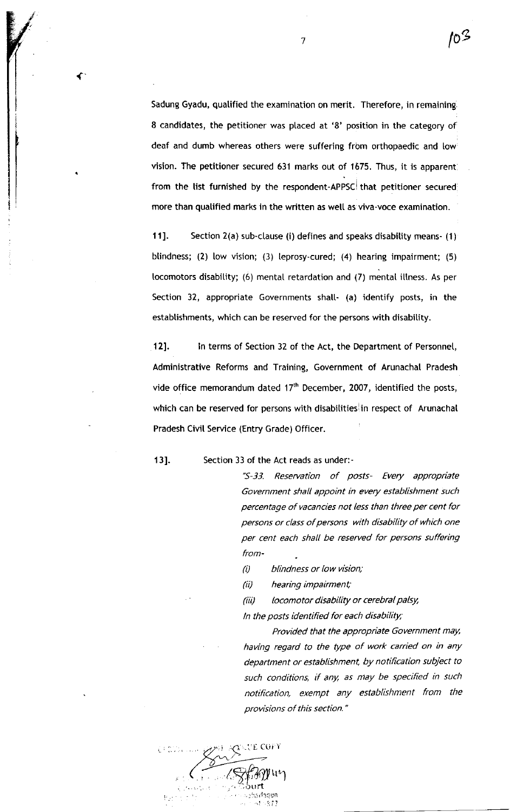Sadung Gyadu, quatified the examination on merit. Therefore, in remaining 8 candidates, the petitioner was placed at '8' position in the category of deaf and dumb whereas others were suffering frbm orthopaedic and low vision. The petitioner secured 631 marks out of 1675. Thus, it is apparent from the list furnished by the respondent-APPSC that petitioner secured more than qualified marks in the written as well as viva-voce examination.

11]. Section 2(a) sub-clause (i) defines and speaks disability means- (1) blindness; (2) low vision; (3) leprosy-cured; (4) hearing impairment; (5) tocomotors disability; (6) mental retardation and (7) mental illness. As per Section 32, appropriate Governments shall- (a) identify posts, in the establishments, which can be reserved for the persons with disability.

12]. In terms of Section 32 of the Act, the Department of Personnel, Administrative Reforms and Training, Government of Arunachal Pradesh vide office memorandum dated  $17<sup>th</sup>$  December, 2007, identified the posts, which can be reserved for persons with disabilities in respect of Arunachal Pradesh Civit Service (Entry Grade) Officer.

13]. Section 33 of the Act reads as under:-

"S-33. Reseruation of posts- Every appropriate Government shall appoint in every establishment such percentage of vacancies not less than three per cent for persons or class of persons with disability of which one per cent each shall be reserved for persons suffering from -

 $(i)$  blindness or low vision;

(ii) hearing impairment;

(iii) locomotor disability or cerebral palsy,

In the posts identified for each disability;

Provided that the appropriate Government may, having regard to the type of work carried on in any department or establishment, by notification subject to such conditions, if any, as may be specified in such notification, exempt any establishment from the provisions of this section."

,(1 -'. E Coi i  $\sqrt{8}$ f $30$ juy .  $\sum_{i=1}^{n}$ llrail':tun  $,77$ ,i

7

{

lo $\emph{3}$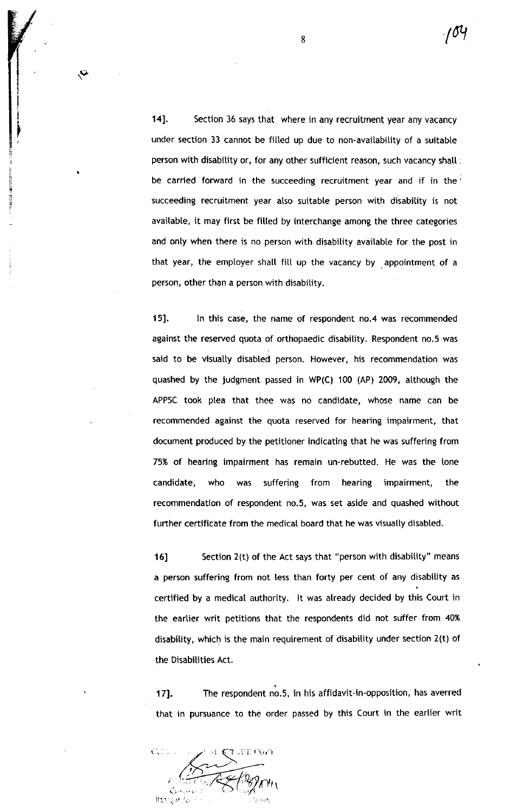14]. Section 36 says that where in any recruitment year any vacancy under section 33 cannot be filled up due to non-availability of a suitable person with disability or, for any other sufficient reason, such vacancy shall be carried forward in the succeeding recruitment year and if in the succeeding recruitment year also suitable person with disability is not avaitabte, it may first be fitted by interchange among the three categories and only when there is no person with disability available for the post in that year, the employer shall fill up the vacancy by  $\frac{1}{2}$  appointment of a person, other than a person with disability.

151. ln this case, the name of respondent no.4 was recommended against the reserved quota of orthopaedic disabitity. Respondent no.5 was said to be visually disabled person. However, his recommendation was quashed by the judgment passed in WP(C) 100 (AP) 2009, atthough the APPSC took plea that thee was no candidate, whose name can be recommended against the quota reserved for hearing impairment, that document produced by the petitioner indicating that he was suffering from 75% of hearing impairment has remain un-rebutted. He was the tone candidate, who was suffering from hearing impairment, the recommendation of respondent no.5, was set aside and quashed without further certificate from the medical board that he was visually disabled.

16] Section 2(t) of the Act says that "person with disability" means a person suffering from not less than forty per cent of any disabitity as certified by a medicat authority. lt was already decided by this Court in the eartier writ petitions that the respondents did not suffer from 40% disabitity, which is the main requirement of disabitity under section 2(t) of the Disabilities Act.

171. The respondent no.5, in his affidavit-in-opposition, has averred that in pursuance to the order passed by this Court in the earlier writ

 $\mathcal{W}^{\prime}$ llanegar.  $\Upsilon$ , iff. Co2)

 $\sim$ 

t t I

!! il E i.